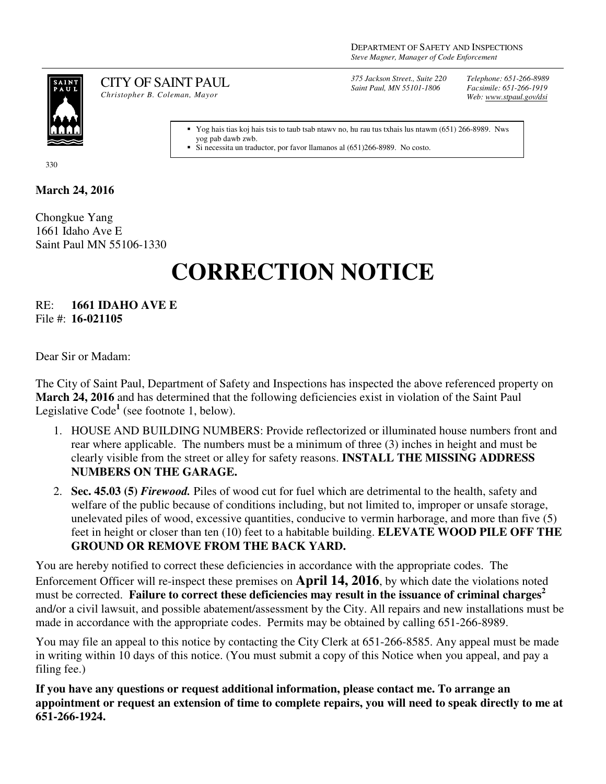

CITY OF SAINT PAUL *Christopher B. Coleman, Mayor* 

*375 Jackson Street., Suite 220 Saint Paul, MN 55101-1806*

*Telephone: 651-266-8989 Facsimile: 651-266-1919 Web: www.stpaul.gov/dsi*

Yog hais tias koj hais tsis to taub tsab ntawv no, hu rau tus txhais lus ntawm (651) 266-8989. Nws yog pab dawb zwb.

Si necessita un traductor, por favor llamanos al (651)266-8989. No costo.

330

## **March 24, 2016**

Chongkue Yang 1661 Idaho Ave E Saint Paul MN 55106-1330

## **CORRECTION NOTICE**

RE: **1661 IDAHO AVE E** File #: **16-021105**

Dear Sir or Madam:

The City of Saint Paul, Department of Safety and Inspections has inspected the above referenced property on **March 24, 2016** and has determined that the following deficiencies exist in violation of the Saint Paul Legislative Code<sup>1</sup> (see footnote 1, below).

- 1. HOUSE AND BUILDING NUMBERS: Provide reflectorized or illuminated house numbers front and rear where applicable. The numbers must be a minimum of three (3) inches in height and must be clearly visible from the street or alley for safety reasons. **INSTALL THE MISSING ADDRESS NUMBERS ON THE GARAGE.**
- 2. **Sec. 45.03 (5)** *Firewood.* Piles of wood cut for fuel which are detrimental to the health, safety and welfare of the public because of conditions including, but not limited to, improper or unsafe storage, unelevated piles of wood, excessive quantities, conducive to vermin harborage, and more than five (5) feet in height or closer than ten (10) feet to a habitable building. **ELEVATE WOOD PILE OFF THE GROUND OR REMOVE FROM THE BACK YARD.**

You are hereby notified to correct these deficiencies in accordance with the appropriate codes. The Enforcement Officer will re-inspect these premises on **April 14, 2016**, by which date the violations noted must be corrected. **Failure to correct these deficiencies may result in the issuance of criminal charges<sup>2</sup>** and/or a civil lawsuit, and possible abatement/assessment by the City. All repairs and new installations must be made in accordance with the appropriate codes. Permits may be obtained by calling 651-266-8989.

You may file an appeal to this notice by contacting the City Clerk at 651-266-8585. Any appeal must be made in writing within 10 days of this notice. (You must submit a copy of this Notice when you appeal, and pay a filing fee.)

**If you have any questions or request additional information, please contact me. To arrange an appointment or request an extension of time to complete repairs, you will need to speak directly to me at 651-266-1924.**